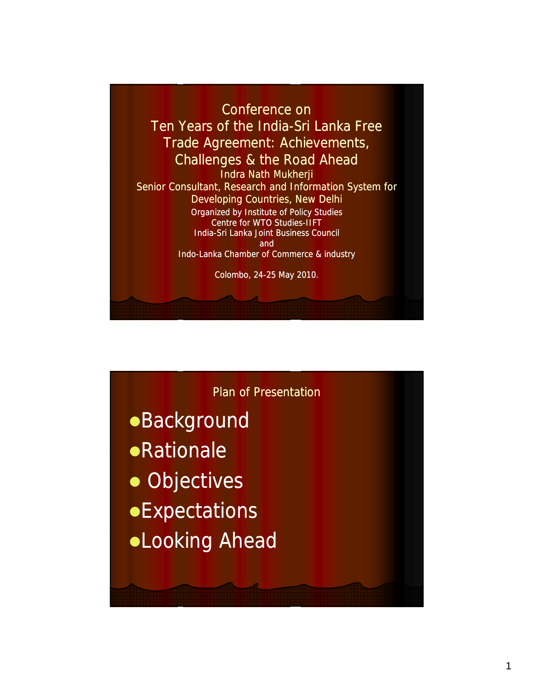

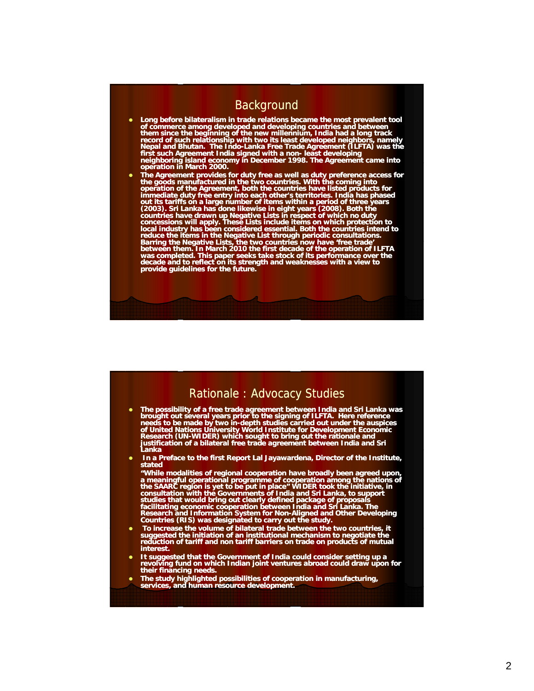# **Background**

- Long before bilateralism in trade relations became the most prevalent tool<br>of commerce among developed and developing countries and between<br>them since the beginning of the new millennium, India had a long track<br>record of
- The Agreement provides for duty free as well as duty preference access for<br>the goods manufactured in the two countries. With the coming into<br>operation of the Agreement, both the countries have listed products for<br>immedia out its tariffs on a large number of items within a period of three years (2003). Sri Lanka has done likewise in eight years (2008). Both the countries have drawn up Negative Lists in respect of which no duty concessions w

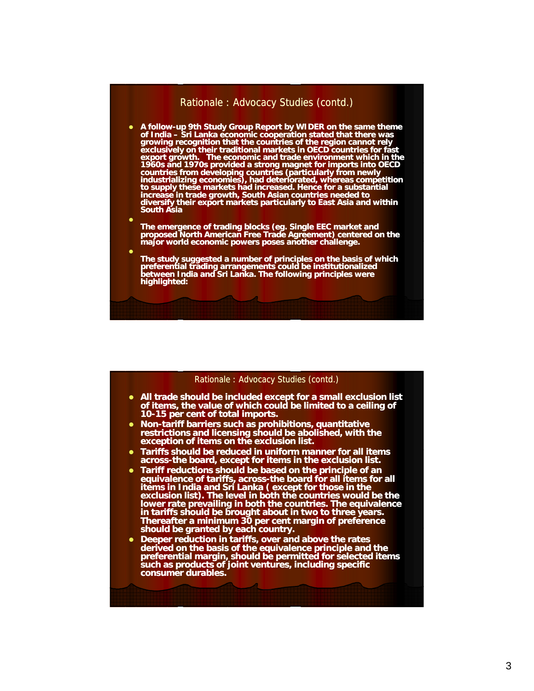## Rationale : Advocacy Studies (contd.)

- A follow-up 9th Study Group Report by WIDER on the same theme **of India – Sri Lanka economic cooperation stated that there was growing recognition that the countries of the region cannot rely exclusively on their traditional markets in OECD countries for fast export growth. The economic and trade environment which in the 1960s and 1970s provided a strong magnet for imports into OECD countries from developing countries (particularly from newly industrializing economies), had deteriorated, whereas competition to supply these markets had increased. Hence for a substantial increase in trade growth, South Asian countries needed to diversify their export markets particularly to East Asia and within South Asia**
- $\bullet$ **The emergence of trading blocks (eg. Single EEC market and proposed North American Free Trade Agreement) centered on the major world economic powers poses another challenge major world economic powers poses another challenge.**

 $\bullet$ 

**The study suggested a number of principles on the basis of which preferential trading arrangements could be institutionalized between India and Sri Lanka. The following principles were highlighted:**

#### Rationale : Advocacy Studies (contd.)

- All trade should be included except for a small exclusion list **of items, the value of which could be limited to a ceiling of 10-15 per cent of total imports. 15**
- **Non-tariff barriers such as prohibitions, quantitative restrictions and licensing should be abolished, with the exception of items on the exclusion list.**
- **Tariffs should be reduced in uniform manner for all items across-the board, except for items in the exclusion list. the**
- Tariff reductions should be based on the principle of an **equivalence of tariffs, across-the board for all items for all items in India and Sri Lanka ( except for those in the exclusion list). The level in both the countries would be the lower rate prevailing in both the countries. The equivalence in tariffs should be brought about in two to three years. Thereafter a minimum 30 per cent margin of preference should be granted by each country should be granted by each country.**
- Deeper reduction in tariffs, over and above the rates **derived on the basis of the equivalence principle and the preferential margin, should be permitted for selected items such as products of joint ventures, including specific consumer durables.**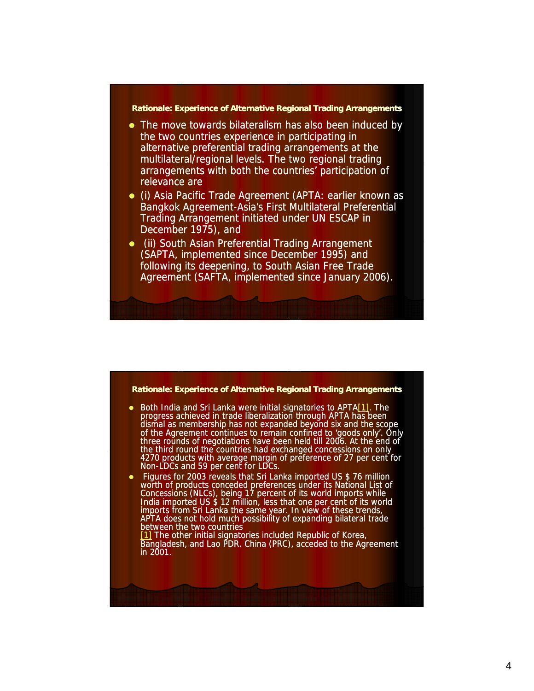#### **Rationale: Experience of Alternative Regional Trading Arrangements**

- The move towards bilateralism has also been induced by the two countries experience in participating in alternative preferential trading arrangements at the multilateral/regional levels. The two regional trading arrangements with both the countries' participation of relevance are
- (i) Asia Pacific Trade Agreement (APTA: earlier known as Bangkok Agreement-Asia's First Multilateral Preferential Trading Arrangement initiated under UN ESCAP in December 1975), and
- (ii) South Asian Preferential Trading Arrangement (SAPTA, implemented since December 1995) and following its deepening, to South Asian Free Trade Agreement (SAFTA, implemented since January 2006).

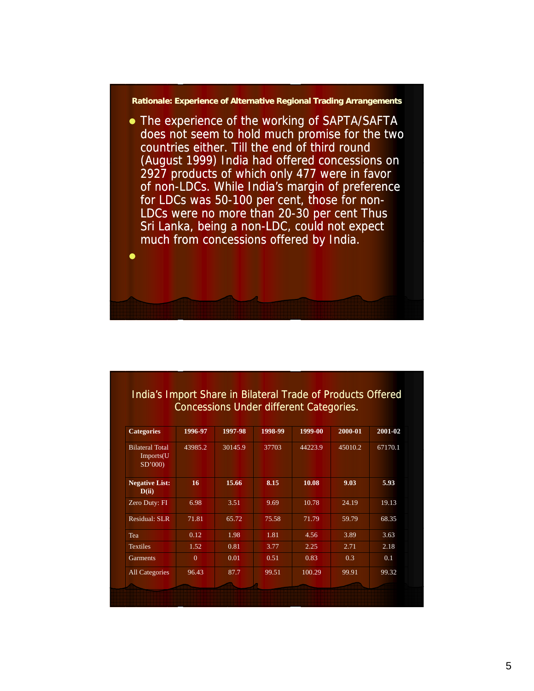#### **Rationale: Experience of Alternative Regional Trading Arrangements**

• The experience of the working of SAPTA/SAFTA does not seem to hold much promise for the two countries either. Till the end of third round (August 1999) India had offered concessions on 2927 products of which only 477 were in favor of non-LDCs. While India's margin of preference for LDCs was 50-100 per cent, those for non-LDCs were no more than 20-30 per cent Thus Sri Lanka, being a non-LDC, could not expect much from concessions offered by India.

 $\bullet$ 

# India's Import Share in Bilateral Trade of Products Offered Concessions Under different Categories.

| <b>Categories</b>                             | 1996-97  | 1997-98 | 1998-99 | 1999-00 | 2000-01 | 2001-02 |
|-----------------------------------------------|----------|---------|---------|---------|---------|---------|
| <b>Bilateral Total</b><br>Imports(U<br>SD'000 | 43985.2  | 30145.9 | 37703   | 44223.9 | 45010.2 | 67170.1 |
| <b>Negative List:</b><br>D(ii)                | 16       | 15.66   | 8.15    | 10.08   | 9.03    | 5.93    |
| Zero Duty: FI                                 | 6.98     | 3.51    | 9.69    | 10.78   | 24.19   | 19.13   |
| <b>Residual: SLR</b>                          | 71.81    | 65.72   | 75.58   | 71.79   | 59.79   | 68.35   |
| Tea                                           | 0.12     | 1.98    | 1.81    | 4.56    | 3.89    | 3.63    |
| <b>Textiles</b>                               | 1.52     | 0.81    | 3.77    | 2.25    | 2.71    | 2.18    |
| Garments                                      | $\theta$ | 0.01    | 0.51    | 0.83    | 0.3     | 0.1     |
| <b>All Categories</b>                         | 96.43    | 87.7    | 99.51   | 100.29  | 99.91   | 99.32   |
|                                               |          |         |         |         |         |         |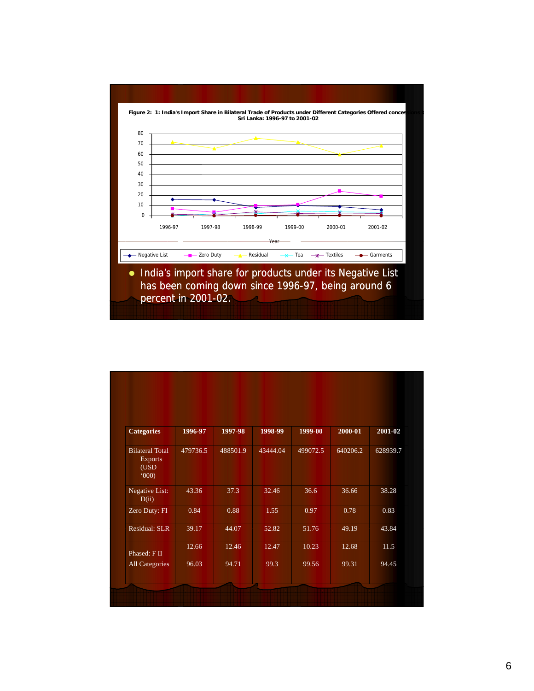

| <b>Categories</b>                                        | 1996-97  | 1997-98  | 1998-99  | 1999-00  | 2000-01  | 2001-02  |
|----------------------------------------------------------|----------|----------|----------|----------|----------|----------|
| <b>Bilateral Total</b><br><b>Exports</b><br>(USD)<br>000 | 479736.5 | 488501.9 | 43444.04 | 499072.5 | 640206.2 | 628939.7 |
| Negative List:<br>D(ii)                                  | 43.36    | 37.3     | 32.46    | 36.6     | 36.66    | 38.28    |
| Zero Duty: FI                                            | 0.84     | 0.88     | 1.55     | 0.97     | 0.78     | 0.83     |
| Residual: SLR                                            | 39.17    | 44.07    | 52.82    | 51.76    | 49.19    | 43.84    |
| Phased: F II                                             | 12.66    | 12.46    | 12.47    | 10.23    | 12.68    | 11.5     |
| <b>All Categories</b>                                    | 96.03    | 94.71    | 99.3     | 99.56    | 99.31    | 94.45    |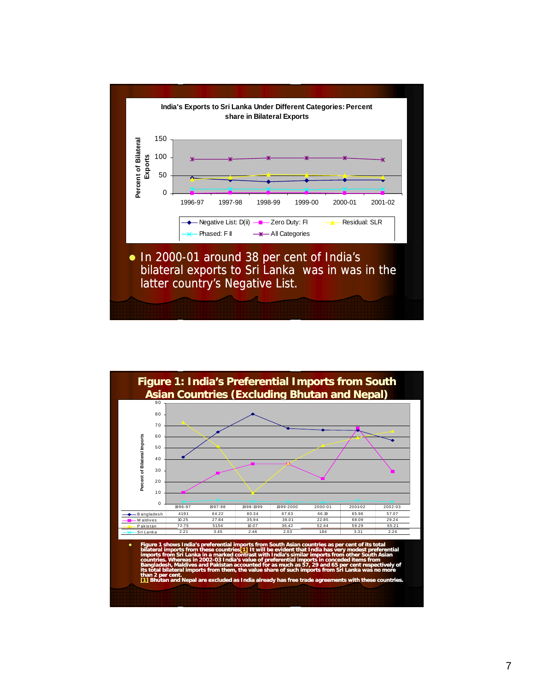

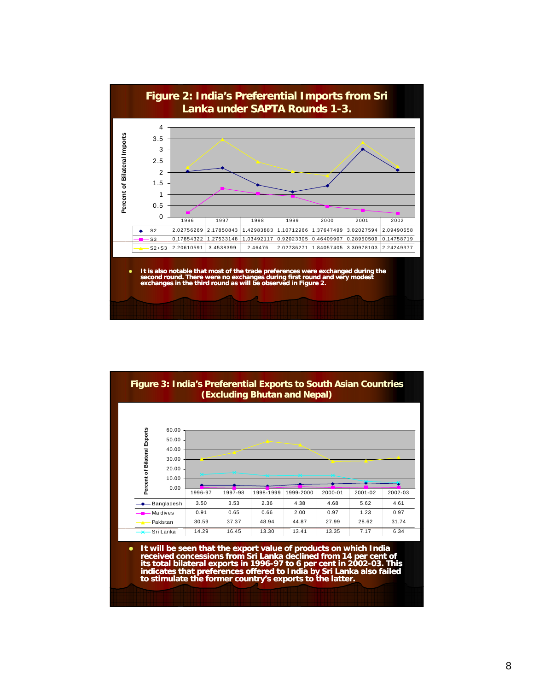

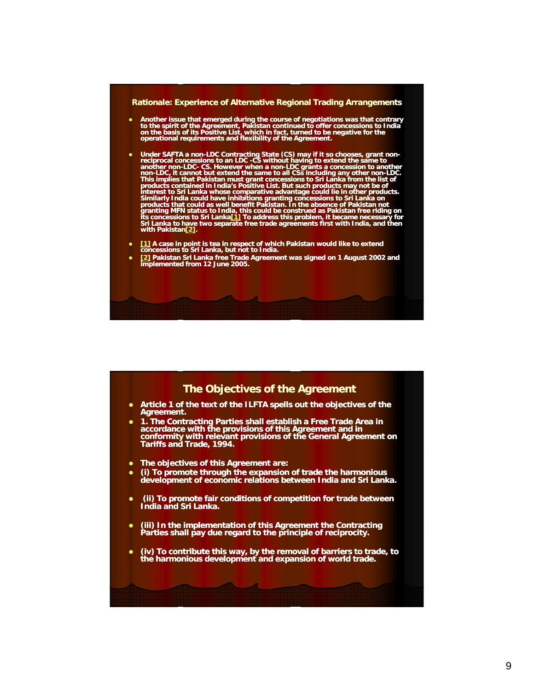



- z **Article 1 of the text of the ILFTA spells out the objectives of the Agreement.**
- **1. The Contracting Parties shall establish a Free Trade Area in accordance with the provisions of this Agreement and in conformity with relevant provisions of the General Agreement on Tariffs and Trade, 1994.**
- **The objectives of this Agreement are:**
- **•** (i) To promote through the expansion of trade the harmonious **development of economic relations between India and Sri Lanka.**
- **•** (ii) To promote fair conditions of competition for trade between **India and Sri Lanka.**
- **•** (iii) In the implementation of this Agreement the Contracting **Parties shall pay due regard to the principle of reciprocity.**
- **•** (iv) To contribute this way, by the removal of barriers to trade, to **the harmonious development and expansion of world trade.**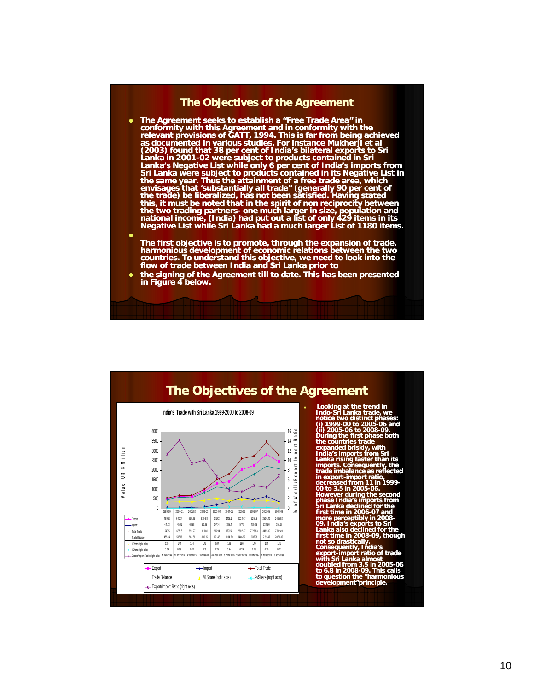### **The Objectives of the Agreement**

- The Agreement seeks to establish a "Free Trade Area" in **conformity with this Agreement and in conformity with the relevant provisions of GATT, 1994. This is far from being achieved as documented in various studies. For instance Mukherji et al (2003) found that 38 per cent of India's bilateral exports to Sri Lanka in 2001 2001-02 were subject to products contained in Sri 02**  Lanka's Negative List while only 6 per cent of India's imports from **Sri Lanka were subject to products contained in its Negative List in the same year. Thus the attainment of a free trade area, which envisages that 'substantially all trade" (generally 90 per cent of the trade) be liberalized, has not been satisfied. Having stated this, it must be noted that in the spirit of non reciprocity between**  the two trading partners- one much larger in size, population and<br>national income, (India) had put out a list of only 429 items in its **Negative List while Sri Lanka had a much larger List of 1180 items.**
- $\bullet$ The first objective is to promote, through the expansion of trade,<br>harmonious development of economic relations between the two **countries. To understand this objective, we need to look into the flow of trade between India and Sri Lanka prior to**
- z **the signing of the Agreement till to date. This has been presented in Figure 4 below.**

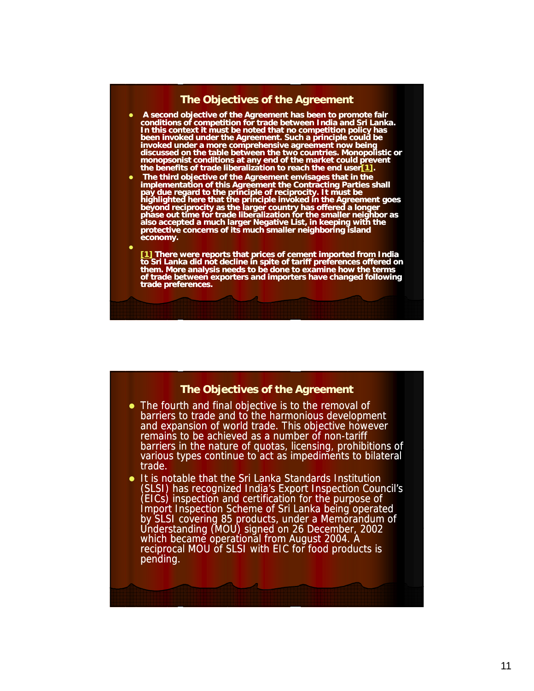## **The Objectives of the Agreement**

- **A second objective of the Agreement has been to promote fair conditions of competition for trade between India and Sri Lanka. In this context it must be noted that no competition policy has been invoked under the Agreement. Such a principle could be invoked under a more comprehensive agreement now being discussed on the table between the two countries. Monopolistic or monopsonist conditions at any end of the market could prevent monopsonist conditions at any end of the market could the benefits of trade liberalization to reach the end user[1].**
- z **The third objective of the Agreement envisages that in the implementation of this Agreement the Contracting Parties shall pay due regard to the principle of reciprocity. It must be highlighted here that the principle invoked in the Agreement goes beyond reciprocity as the larger country has offered a longer phase out time for trade liberalization for the smaller neighbor as also accepted a much larger Negative List, in keeping with the protective concerns of its much smaller neighboring island economy.**

 $\bullet$ 

**[1] There were reports that prices of cement imported from India to Sri Lanka did not decline in spite of tariff preferences offered on them. More analysis needs to be done to examine how the terms of trade between exporters and importers have changed following trade preferences.**

#### **The Objectives of the Agreement**

- The fourth and final objective is to the removal of barriers to trade and to the harmonious development and expansion of world trade. This objective however remains to be achieved as a number of non-tariff barriers in the nature of quotas, licensing, prohibitions of various types continue to act as impediments to bilateral trade.
- It is notable that the Sri Lanka Standards Institution (SLSI) has recognized India's Export Inspection Council's (EICs) inspection and certification for the purpose of Import Inspection Scheme of Sri Lanka being operated by SLSI covering 85 products, under a Memorandum of Understanding (MOU) signed on 26 December, 2002 which became operational from August 2004. A reciprocal MOU of SLSI with EIC for food products is pending.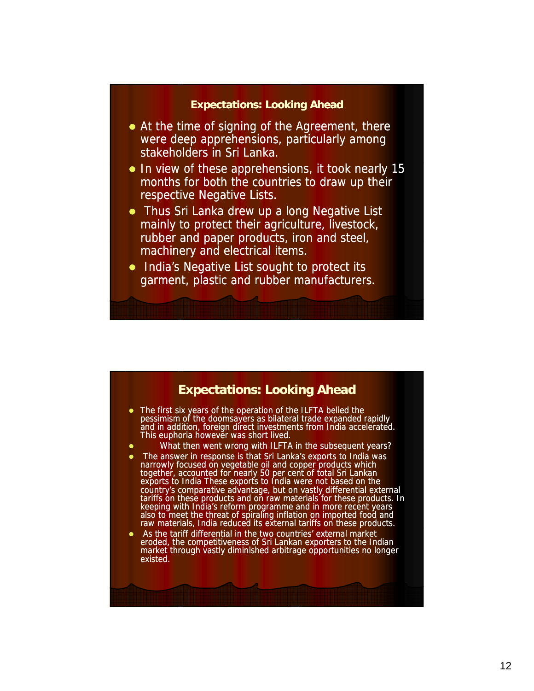## **Expectations: Looking Ahead**

- $\bullet$  At the time of signing of the Agreement, there were deep apprehensions, particularly among stakeholders in Sri Lanka.
- $\bullet$  In view of these apprehensions, it took nearly 15 months for both the countries to draw up their respective Negative Lists.
- Thus Sri Lanka drew up a long Negative List mainly to protect their agriculture, livestock, rubber and paper products, iron and steel, machinery and electrical items.
- India's Negative List sought to protect its garment, plastic and rubber manufacturers.

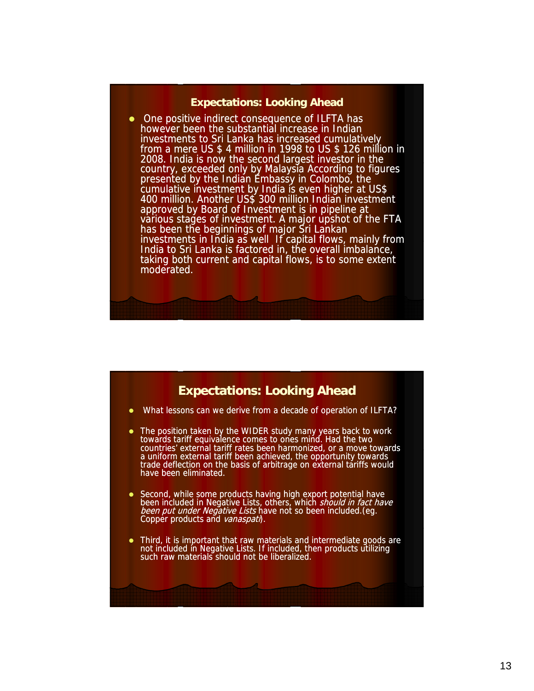#### **Expectations: Looking Ahead**

• One positive indirect consequence of ILFTA has however been the substantial increase in Indian investments to Sri Lanka has increased cumulatively from a mere US \$ 4 million in 1998 to US \$ 126 million in 2008. India is now the second largest investor in the country, exceeded only by Malaysia According to figures presented by the Indian Embassy in Colombo, the cumulative investment by India is even higher at US\$ 400 million. Another US\$ 300 million Indian investment approved by Board of Investment is in pipeline at various stages of investment. A major upshot of the FTA has been the beginnings of major Sri Lankan investments in India as well If capital flows, mainly from India to Sri Lanka is factored in, the overall imbalance, taking both current and capital flows, is to some extent moderated.